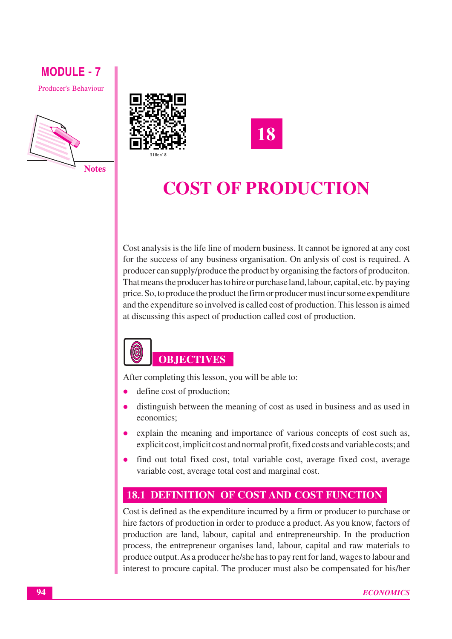**Producer's Behaviour** 





18

# **COST OF PRODUCTION**

Cost analysis is the life line of modern business. It cannot be ignored at any cost for the success of any business organisation. On anlysis of cost is required. A producer can supply/produce the product by organising the factors of produciton. That means the producer has to hire or purchase land, labour, capital, etc. by paying price. So, to produce the product the firm or producer must incur some expenditure and the expenditure so involved is called cost of production. This lesson is aimed at discussing this aspect of production called cost of production.

# $\large{\textcircled{\small{0}}}$ **OBJECTIVES**

After completing this lesson, you will be able to:

- define cost of production;
- distinguish between the meaning of cost as used in business and as used in economics;
- explain the meaning and importance of various concepts of cost such as, explicit cost, implicit cost and normal profit, fixed costs and variable costs; and
- $\bullet$ find out total fixed cost, total variable cost, average fixed cost, average variable cost, average total cost and marginal cost.

### **18.1 DEFINITION OF COST AND COST FUNCTION**

Cost is defined as the expenditure incurred by a firm or producer to purchase or hire factors of production in order to produce a product. As you know, factors of production are land, labour, capital and entrepreneurship. In the production process, the entrepreneur organises land, labour, capital and raw materials to produce output. As a producer he/she has to pay rent for land, wages to labour and interest to procure capital. The producer must also be compensated for his/her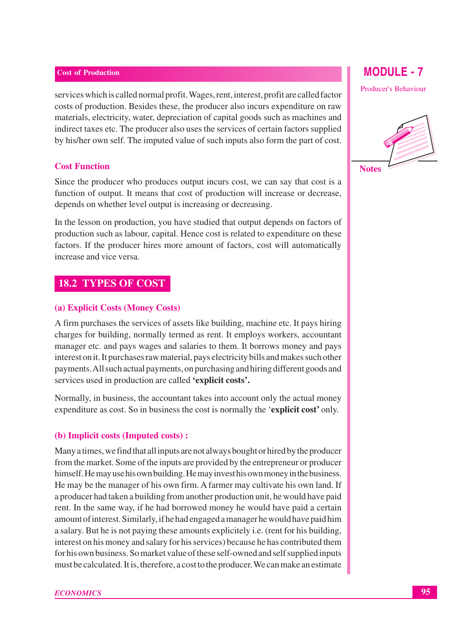services which is called normal profit. Wages, rent, interest, profit are called factor costs of production. Besides these, the producer also incurs expenditure on raw materials, electricity, water, depreciation of capital goods such as machines and indirect taxes etc. The producer also uses the services of certain factors supplied by his/her own self. The imputed value of such inputs also form the part of cost.

### **Cost Function**

Since the producer who produces output incurs cost, we can say that cost is a function of output. It means that cost of production will increase or decrease. depends on whether level output is increasing or decreasing.

In the lesson on production, you have studied that output depends on factors of production such as labour, capital. Hence cost is related to expenditure on these factors. If the producer hires more amount of factors, cost will automatically increase and vice versa.

### **18.2 TYPES OF COST**

### (a) Explicit Costs (Money Costs)

A firm purchases the services of assets like building, machine etc. It pays hiring charges for building, normally termed as rent. It employs workers, accountant manager etc. and pays wages and salaries to them. It borrows money and pays interest on it. It purchases raw material, pays electricity bills and makes such other payments. All such actual payments, on purchasing and hiring different goods and services used in production are called 'explicit costs'.

Normally, in business, the accountant takes into account only the actual money expenditure as cost. So in business the cost is normally the 'explicit cost' only.

### (b) Implicit costs (Imputed costs) :

Many a times, we find that all inputs are not always bought or hired by the producer from the market. Some of the inputs are provided by the entrepreneur or producer himself. He may use his own building. He may invest his own money in the business. He may be the manager of his own firm. A farmer may cultivate his own land. If a producer had taken a building from another production unit, he would have paid rent. In the same way, if he had borrowed money he would have paid a certain amount of interest. Similarly, if he had engaged a manager he would have paid him a salary. But he is not paying these amounts explicitely i.e. (rent for his building, interest on his money and salary for his services) because he has contributed them for his own business. So market value of these self-owned and self supplied inputs must be calculated. It is, therefore, a cost to the producer. We can make an estimate

### **MODULE - 7**

**Producer's Behaviour** 

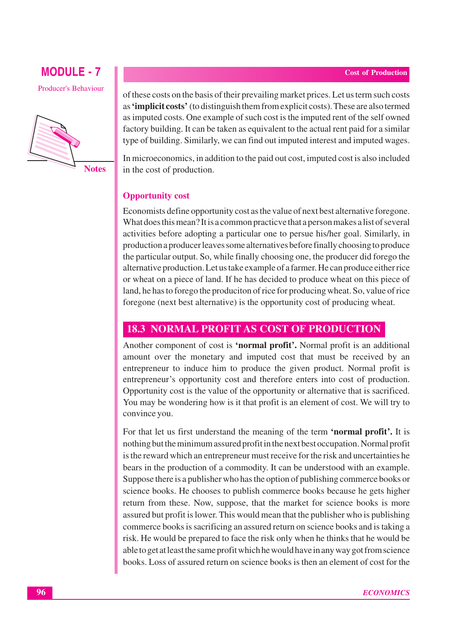# **MODULE - 7 Producer's Behaviour**



of these costs on the basis of their prevailing market prices. Let us term such costs as **'implicit costs'** (to distinguish them from explicit costs). These are also termed as imputed costs. One example of such cost is the imputed rent of the self owned factory building. It can be taken as equivalent to the actual rent paid for a similar type of building. Similarly, we can find out imputed interest and imputed wages.

In microeconomics, in addition to the paid out cost, imputed cost is also included in the cost of production.

### **Opportunity cost**

Economists define opportunity cost as the value of next best alternative foregone. What does this mean? It is a common practic ve that a person makes a list of several activities before adopting a particular one to persue his/her goal. Similarly, in production a producer leaves some alternatives before finally choosing to produce the particular output. So, while finally choosing one, the producer did forego the alternative production. Let us take example of a farmer. He can produce either rice or wheat on a piece of land. If he has decided to produce wheat on this piece of land, he has to forego the produciton of rice for producing wheat. So, value of rice foregone (next best alternative) is the opportunity cost of producing wheat.

### **18.3 NORMAL PROFIT AS COST OF PRODUCTION**

Another component of cost is 'normal profit'. Normal profit is an additional amount over the monetary and imputed cost that must be received by an entrepreneur to induce him to produce the given product. Normal profit is entrepreneur's opportunity cost and therefore enters into cost of production. Opportunity cost is the value of the opportunity or alternative that is sacrificed. You may be wondering how is it that profit is an element of cost. We will try to convince you.

For that let us first understand the meaning of the term **'normal profit'**. It is nothing but the minimum assured profit in the next best occupation. Normal profit is the reward which an entrepreneur must receive for the risk and uncertainties he bears in the production of a commodity. It can be understood with an example. Suppose there is a publisher who has the option of publishing commerce books or science books. He chooses to publish commerce books because he gets higher return from these. Now, suppose, that the market for science books is more assured but profit is lower. This would mean that the publisher who is publishing commerce books is sacrificing an assured return on science books and is taking a risk. He would be prepared to face the risk only when he thinks that he would be able to get at least the same profit which he would have in any way got from science books. Loss of assured return on science books is then an element of cost for the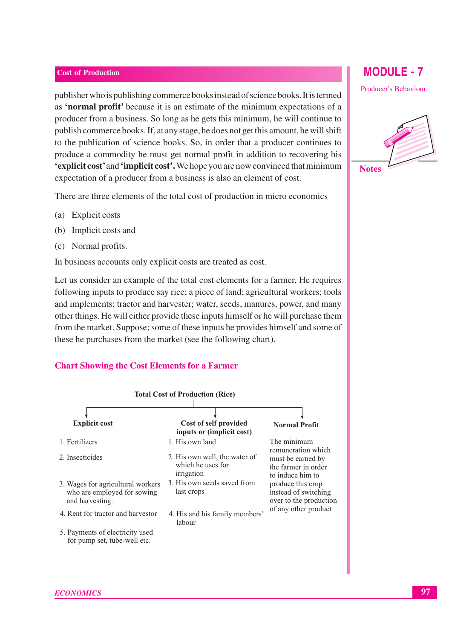publisher who is publishing commerce books instead of science books. It is termed as 'normal profit' because it is an estimate of the minimum expectations of a producer from a business. So long as he gets this minimum, he will continue to publish commerce books. If, at any stage, he does not get this amount, he will shift to the publication of science books. So, in order that a producer continues to produce a commodity he must get normal profit in addition to recovering his 'explicit cost' and 'implicit cost'. We hope you are now convinced that minimum expectation of a producer from a business is also an element of cost.

There are three elements of the total cost of production in micro economics

- (a) Explicit costs
- (b) Implicit costs and
- (c) Normal profits.

In business accounts only explicit costs are treated as cost.

Let us consider an example of the total cost elements for a farmer, He requires following inputs to produce say rice; a piece of land; agricultural workers; tools and implements: tractor and harvester; water, seeds, manures, power, and many other things. He will either provide these inputs himself or he will purchase them from the market. Suppose; some of these inputs he provides himself and some of these he purchases from the market (see the following chart).

### **Chart Showing the Cost Elements for a Farmer**



### **ECONOMICS**

# **MODULE - 7**

**Producer's Behaviour** 

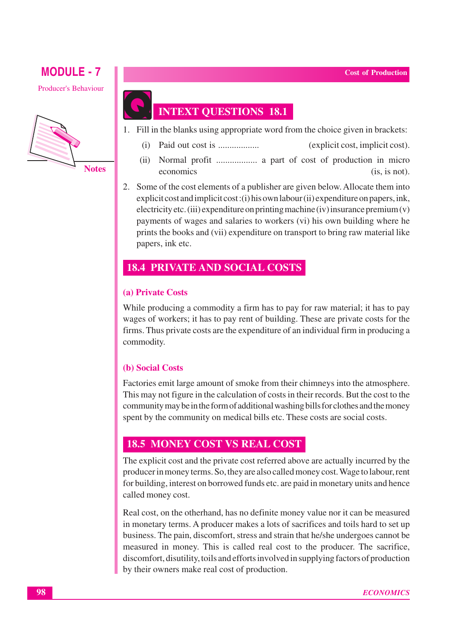**Producer's Behaviour** 



# **INTEXT QUESTIONS 18.1**

- 1. Fill in the blanks using appropriate word from the choice given in brackets:
	- $(i)$ (explicit cost, implicit cost).
	- Normal profit ................... a part of cost of production in micro  $(ii)$ economics  $(is, is not).$
- 2. Some of the cost elements of a publisher are given below. Allocate them into  $exolicit cost and implicit cost: (i) his own labour (ii) expenditure on papers, ink.$ electricity etc. (iii) expenditure on printing machine (iv) insurance premium  $(v)$ payments of wages and salaries to workers (vi) his own building where he prints the books and (vii) expenditure on transport to bring raw material like papers, ink etc.

### **18.4 PRIVATE AND SOCIAL COSTS**

### (a) Private Costs

While producing a commodity a firm has to pay for raw material; it has to pay wages of workers; it has to pay rent of building. These are private costs for the firms. Thus private costs are the expenditure of an individual firm in producing a commodity.

### (b) Social Costs

Factories emit large amount of smoke from their chimneys into the atmosphere. This may not figure in the calculation of costs in their records. But the cost to the community may be in the form of additional washing bills for clothes and the money spent by the community on medical bills etc. These costs are social costs.

### **18.5 MONEY COST VS REAL COST**

The explicit cost and the private cost referred above are actually incurred by the producer in money terms. So, they are also called money cost. Wage to labour, rent for building, interest on borrowed funds etc. are paid in monetary units and hence called money cost.

Real cost, on the other hand, has no definite money value nor it can be measured in monetary terms. A producer makes a lots of sacrifices and toils hard to set up business. The pain, discomfort, stress and strain that he/she undergoes cannot be measured in money. This is called real cost to the producer. The sacrifice, discomfort, disutility, toils and efforts involved in supplying factors of production by their owners make real cost of production.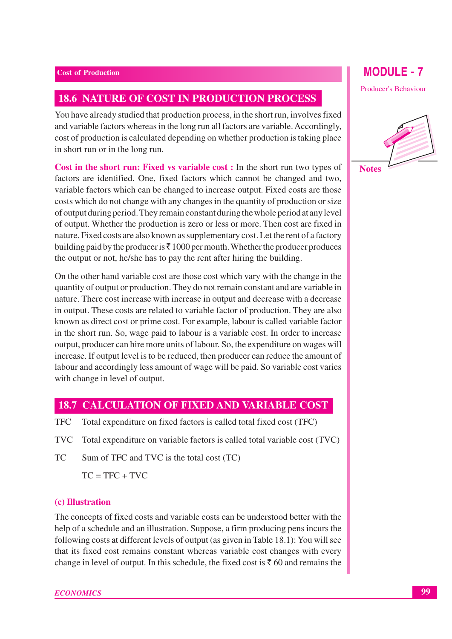### **18.6 NATURE OF COST IN PRODUCTION PROCESS**

You have already studied that production process, in the short run, involves fixed and variable factors whereas in the long run all factors are variable. Accordingly, cost of production is calculated depending on whether production is taking place in short run or in the long run.

Cost in the short run: Fixed vs variable cost : In the short run two types of factors are identified. One, fixed factors which cannot be changed and two, variable factors which can be changed to increase output. Fixed costs are those costs which do not change with any changes in the quantity of production or size of output during period. They remain constant during the whole period at any level of output. Whether the production is zero or less or more. Then cost are fixed in nature. Fixed costs are also known as supplementary cost. Let the rent of a factory building paid by the producer is  $\bar{\tau}$  1000 per month. Whether the producer produces the output or not, he/she has to pay the rent after hiring the building.

On the other hand variable cost are those cost which vary with the change in the quantity of output or production. They do not remain constant and are variable in nature. There cost increase with increase in output and decrease with a decrease in output. These costs are related to variable factor of production. They are also known as direct cost or prime cost. For example, labour is called variable factor in the short run. So, wage paid to labour is a variable cost. In order to increase output, producer can hire more units of labour. So, the expenditure on wages will increase. If output level is to be reduced, then producer can reduce the amount of labour and accordingly less amount of wage will be paid. So variable cost varies with change in level of output.

### **18.7 CALCULATION OF FIXED AND VARIABLE COST**

- **TFC** Total expenditure on fixed factors is called total fixed cost (TFC)
- **TVC** Total expenditure on variable factors is called total variable cost (TVC)
- **TC** Sum of TFC and TVC is the total cost (TC)

 $TC = TFC + TVC$ 

### (c) Illustration

The concepts of fixed costs and variable costs can be understood better with the help of a schedule and an illustration. Suppose, a firm producing pens incurs the following costs at different levels of output (as given in Table 18.1): You will see that its fixed cost remains constant whereas variable cost changes with every change in level of output. In this schedule, the fixed cost is  $\bar{\tau}$  60 and remains the

### **MODULE - 7**

**Producer's Behaviour** 

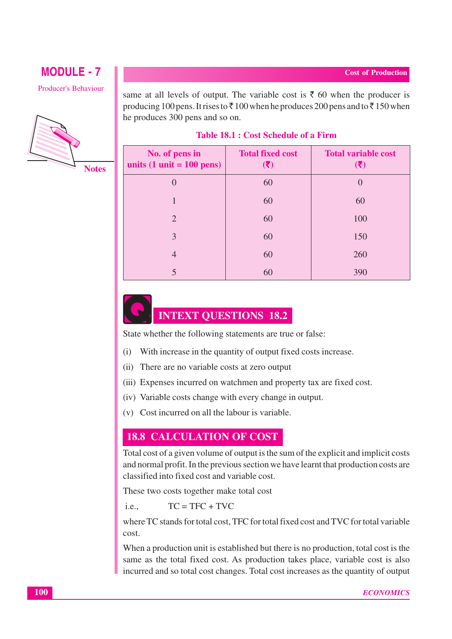**Producer's Behaviour** 



same at all levels of output. The variable cost is  $\bar{\tau}$  60 when the producer is producing 100 pens. It rises to  $\overline{\zeta}$  100 when he produces 200 pens and to  $\overline{\zeta}$  150 when he produces 300 pens and so on.

### Table 18.1 : Cost Schedule of a Firm

| No. of pens in<br>units $(1 \text{ unit} = 100 \text{ pens})$ | <b>Total fixed cost</b> | <b>Total variable cost</b><br>$(\bar{\bm{\mathsf{z}}})$ |
|---------------------------------------------------------------|-------------------------|---------------------------------------------------------|
| $\left( \right)$                                              | 60                      | $\left( \right)$                                        |
|                                                               | 60                      | 60                                                      |
| $\mathcal{D}_{\cdot}$                                         | 60                      | 100                                                     |
| 3                                                             | 60                      | 150                                                     |
| 4                                                             | 60                      | 260                                                     |
|                                                               | 60                      | 390                                                     |

# **INTEXT QUESTIONS 18.2**

State whether the following statements are true or false:

- (i) With increase in the quantity of output fixed costs increase.
- (ii) There are no variable costs at zero output
- (iii) Expenses incurred on watchmen and property tax are fixed cost.
- (iv) Variable costs change with every change in output.
- (v) Cost incurred on all the labour is variable.

### **18.8 CALCULATION OF COST**

Total cost of a given volume of output is the sum of the explicit and implicit costs and normal profit. In the previous section we have learnt that production costs are classified into fixed cost and variable cost.

These two costs together make total cost

 $TC = TFC + TVC$  $i.e.,$ 

where TC stands for total cost. TFC for total fixed cost and TVC for total variable cost.

When a production unit is established but there is no production, total cost is the same as the total fixed cost. As production takes place, variable cost is also incurred and so total cost changes. Total cost increases as the quantity of output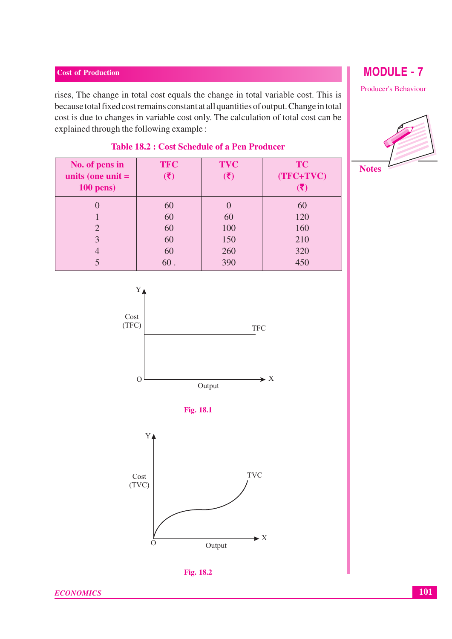rises, The change in total cost equals the change in total variable cost. This is because total fixed cost remains constant at all quantities of output. Change in total cost is due to changes in variable cost only. The calculation of total cost can be explained through the following example :

| No. of pens in<br>units (one unit $=$ | <b>TFC</b><br>$(\bar{\bar{\bm{\xi}}})$ | <b>TVC</b> | <b>TC</b><br>$(TFC+TVC)$ |
|---------------------------------------|----------------------------------------|------------|--------------------------|
| $100$ pens)                           |                                        |            |                          |
|                                       | 60                                     |            | 60                       |
|                                       | 60                                     | 60         | 120                      |
| $\mathcal{D}_{\mathcal{A}}$           | 60                                     | 100        | 160                      |
| 3                                     | 60                                     | 150        | 210                      |
|                                       | 60                                     | 260        | 320                      |
|                                       | 60.                                    | 390        | 450                      |

### **Table 18.2 : Cost Schedule of a Pen Producer**

 $Y_{\ell}$ Cost  $(TFC)$ **TFC**  $\blacktriangleright$  X  $\Omega$ Output







# **MODULE - 7**

Producer's Behaviour



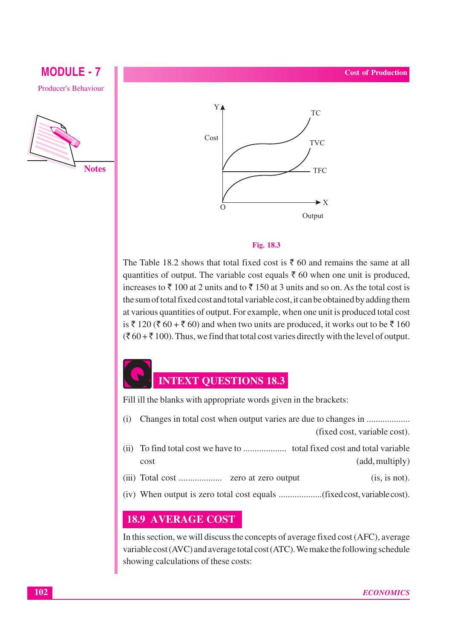# **MODULE - 7 Producer's Behaviour**





### Fig. 18.3

The Table 18.2 shows that total fixed cost is  $\bar{\xi}$  60 and remains the same at all quantities of output. The variable cost equals  $\bar{\tau}$  60 when one unit is produced, increases to  $\bar{\tau}$  100 at 2 units and to  $\bar{\tau}$  150 at 3 units and so on. As the total cost is the sum of total fixed cost and total variable cost, it can be obtained by adding them at various quantities of output. For example, when one unit is produced total cost is ₹ 120 (₹ 60 + ₹ 60) and when two units are produced, it works out to be ₹ 160  $(\xi 60 + \xi 100)$ . Thus, we find that total cost varies directly with the level of output.

# **INTEXT QUESTIONS 18.3**

Fill ill the blanks with appropriate words given in the brackets:

- $(i)$ (fixed cost, variable cost).
- cost (add, multiply)
- $(is, is not).$
- 

### **18.9 AVERAGE COST**

In this section, we will discuss the concepts of average fixed cost (AFC), average variable cost (AVC) and average total cost (ATC). We make the following schedule showing calculations of these costs: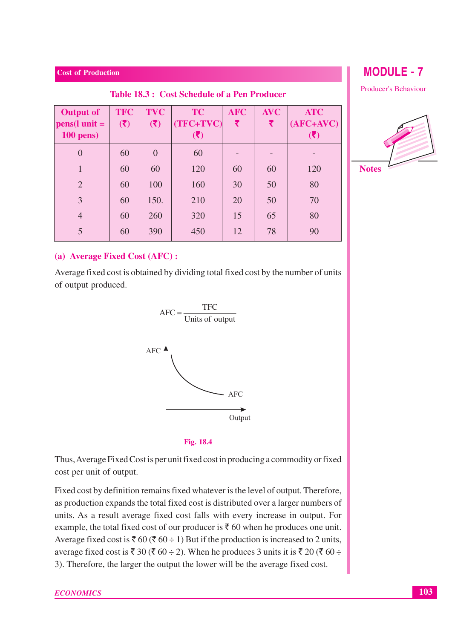| <b>Cost of Production</b>                   |                   |                               |                 |                 |                                  |  |  |
|---------------------------------------------|-------------------|-------------------------------|-----------------|-----------------|----------------------------------|--|--|
| Table 18.3: Cost Schedule of a Pen Producer |                   |                               |                 |                 |                                  |  |  |
| <b>TFC</b><br>(3)                           | <b>TVC</b><br>(5) | <b>TC</b><br>(TFC+TVC)<br>(3) | <b>AFC</b><br>₹ | <b>AVC</b><br>₹ | <b>ATC</b><br>$(AFC+AVC)$<br>(3) |  |  |
| 60                                          | $\theta$          | 60                            |                 |                 |                                  |  |  |
| 60                                          | 60                | 120                           | 60              | 60              | 120                              |  |  |
| 60                                          | 100               | 160                           | 30              | 50              | 80                               |  |  |
| 60                                          | 150.              | 210                           | 20              | 50              | 70                               |  |  |
| 60                                          | 260               | 320                           | 15              | 65              | 80                               |  |  |
| 60                                          | 390               | 450                           | 12              | 78              | 90                               |  |  |
|                                             | $pens(l unit =$   |                               |                 |                 |                                  |  |  |

### (a) Average Fixed Cost (AFC):

Average fixed cost is obtained by dividing total fixed cost by the number of units of output produced.



### Fig. 18.4

Thus, Average Fixed Cost is per unit fixed cost in producing a commodity or fixed cost per unit of output.

Fixed cost by definition remains fixed whatever is the level of output. Therefore, as production expands the total fixed cost is distributed over a larger numbers of units. As a result average fixed cost falls with every increase in output. For example, the total fixed cost of our producer is  $\bar{\tau}$  60 when he produces one unit. Average fixed cost is ₹ 60 (₹ 60 ÷ 1) But if the production is increased to 2 units, average fixed cost is ₹ 30 (₹ 60 ÷ 2). When he produces 3 units it is ₹ 20 (₹ 60 ÷ 3). Therefore, the larger the output the lower will be the average fixed cost.

**MODULE - 7** 

**Producer's Behaviour** 

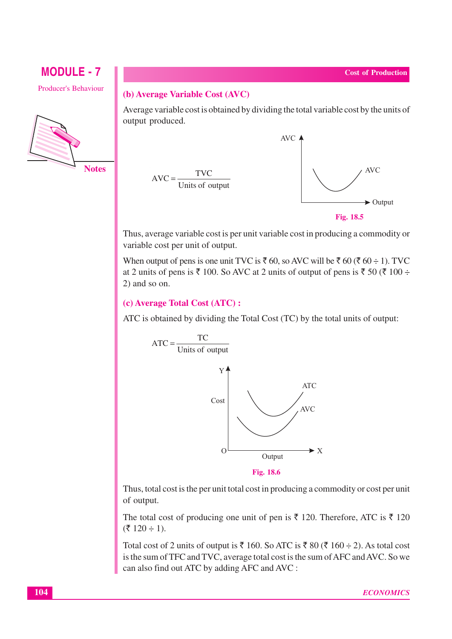# **MODULE - 7 Producer's Behaviour**



### (b) Average Variable Cost (AVC)

Average variable cost is obtained by dividing the total variable cost by the units of output produced.



Fig. 18.5

Thus, average variable cost is per unit variable cost in producing a commodity or variable cost per unit of output.

When output of pens is one unit TVC is  $\bar{\tau}$  60, so AVC will be  $\bar{\tau}$  60 ( $\bar{\tau}$  60 ÷ 1). TVC at 2 units of pens is ₹ 100. So AVC at 2 units of output of pens is ₹ 50 (₹ 100 ÷  $2)$  and so on.

### (c) Average Total Cost (ATC):

ATC is obtained by dividing the Total Cost (TC) by the total units of output:



Thus, total cost is the per unit total cost in producing a commodity or cost per unit of output.

The total cost of producing one unit of pen is  $\bar{\xi}$  120. Therefore, ATC is  $\bar{\xi}$  120  $(3.120 \div 1)$ .

Total cost of 2 units of output is  $\overline{\xi}$  160. So ATC is  $\overline{\xi}$  80 ( $\overline{\xi}$  160 ÷ 2). As total cost is the sum of TFC and TVC, average total cost is the sum of AFC and AVC. So we can also find out ATC by adding AFC and AVC :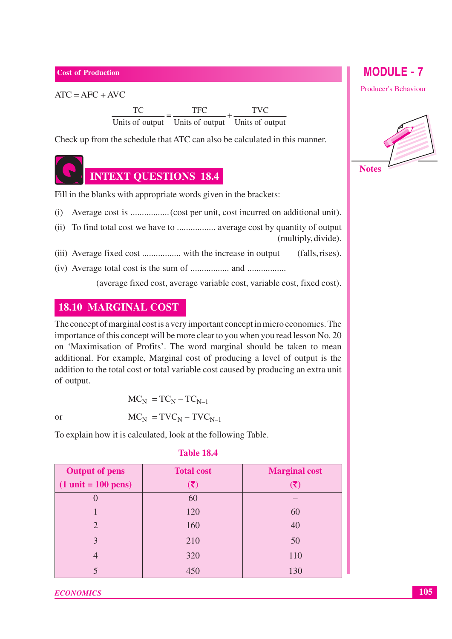$ATC = AFC + AVC$ 

 $\frac{TC}{\text{ Units of output}} = \frac{TFC}{\text{ Units of output}} + \frac{TVC}{\text{ Units of output}}$ 

Check up from the schedule that ATC can also be calculated in this manner.



Fill in the blanks with appropriate words given in the brackets:

- 
- (multiply, divide).
- (falls, rises).
- 

(average fixed cost, average variable cost, variable cost, fixed cost).

### **18.10 MARGINAL COST**

The concept of marginal cost is a very important concept in micro economics. The importance of this concept will be more clear to you when you read lesson No. 20 on 'Maximisation of Profits'. The word marginal should be taken to mean additional. For example, Marginal cost of producing a level of output is the addition to the total cost or total variable cost caused by producing an extra unit of output.

**or** 

$$
MC_N = TC_N - TC_{N-1}
$$

$$
MC_N = TVC_N - TVC_{N-1}
$$

To explain how it is calculated, look at the following Table.

| <b>Output of pens</b>                 | <b>Total cost</b>                            | <b>Marginal cost</b>      |
|---------------------------------------|----------------------------------------------|---------------------------|
| $(1 \text{ unit} = 100 \text{ pens})$ | $(\overline{\overline{\boldsymbol{\zeta}}})$ | $(\overline{\mathbf{x}})$ |
|                                       | 60                                           |                           |
|                                       | 120                                          | 60                        |
| $\mathcal{D}_{\mathcal{A}}$           | 160                                          | 40                        |
| 3                                     | 210                                          | 50                        |
| $\overline{4}$                        | 320                                          | 110                       |
|                                       | 450                                          | 130                       |

### **Table 18.4**

### **ECONOMICS**

**MODULE - 7 Producer's Behaviour** 

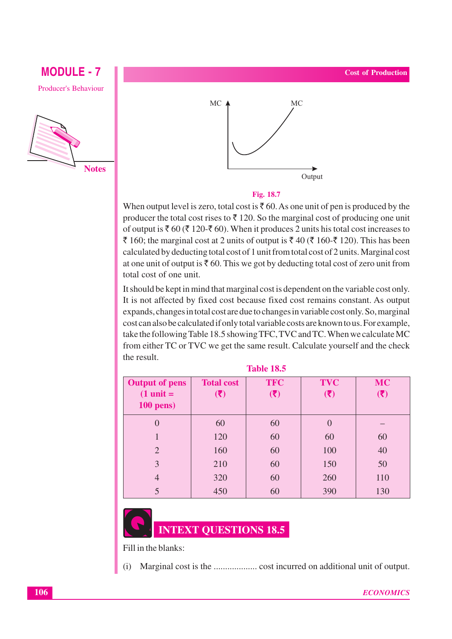# **Producer's Behaviour**

**MODULE - 7** 

**Notes** 



### Fig. 18.7

When output level is zero, total cost is  $\bar{\tau}$  60. As one unit of pen is produced by the producer the total cost rises to  $\bar{\tau}$  120. So the marginal cost of producing one unit of output is  $\bar{\xi}$  60 ( $\bar{\xi}$  120- $\bar{\xi}$  60). When it produces 2 units his total cost increases to ₹ 160; the marginal cost at 2 units of output is ₹ 40 (₹ 160-₹ 120). This has been calculated by deducting total cost of 1 unit from total cost of 2 units. Marginal cost at one unit of output is  $\bar{\tau}$  60. This we got by deducting total cost of zero unit from total cost of one unit.

It should be kept in mind that marginal cost is dependent on the variable cost only. It is not affected by fixed cost because fixed cost remains constant. As output expands, changes in total cost are due to changes in variable cost only. So, marginal cost can also be calculated if only total variable costs are known to us. For example, take the following Table 18.5 showing TFC, TVC and TC. When we calculate MC from either TC or TVC we get the same result. Calculate yourself and the check the result.

| <b>Output of pens</b> | <b>Total cost</b> | <b>TFC</b>                | <b>TVC</b>                | <b>MC</b>                  |
|-----------------------|-------------------|---------------------------|---------------------------|----------------------------|
| $(1 \text{ unit} =$   | (3)               | $(\overline{\mathbf{z}})$ | $(\overline{\mathbf{x}})$ | $(\bar{\bar{\mathbf{z}}})$ |
| $100$ pens)           |                   |                           |                           |                            |
| $\Omega$              | 60                | 60                        | $\overline{0}$            |                            |
|                       | 120               | 60                        | 60                        | 60                         |
| $\overline{2}$        | 160               | 60                        | 100                       | 40                         |
| 3                     | 210               | 60                        | 150                       | 50                         |
| $\overline{4}$        | 320               | 60                        | 260                       | 110                        |
| 5                     | 450               | 60                        | 390                       | 130                        |

### **Table 18.5**



Fill in the blanks:

 $(i)$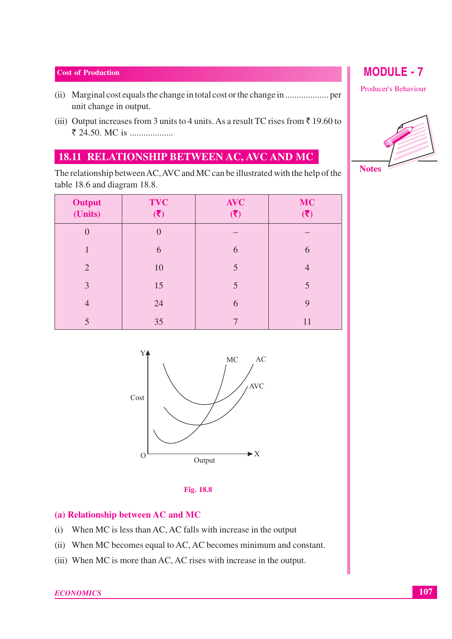- unit change in output.
- (iii) Output increases from 3 units to 4 units. As a result TC rises from  $\bar{z}$  19.60 to ₹ 24.50. MC is ....................

# 18.11 RELATIONSHIP BETWEEN AC, AVC AND MC

The relationship between AC, AVC and MC can be illustrated with the help of the table 18.6 and diagram 18.8.

| Output<br>(Units) | <b>TVC</b><br>(3) | <b>AVC</b><br>(3) | <b>MC</b><br>$(\overline{\overline{\boldsymbol{\zeta}}})$ |
|-------------------|-------------------|-------------------|-----------------------------------------------------------|
| $\overline{0}$    |                   |                   |                                                           |
| 1                 | 6                 | 6                 | 6                                                         |
| $\overline{2}$    | 10                | 5                 | $\overline{4}$                                            |
| 3                 | 15                | 5                 | 5                                                         |
| $\overline{4}$    | 24                | 6                 | 9                                                         |
| 5                 | 35                |                   | 11                                                        |





### (a) Relationship between AC and MC

- (i) When MC is less than AC, AC falls with increase in the output
- (ii) When MC becomes equal to AC, AC becomes minimum and constant.
- (iii) When MC is more than AC, AC rises with increase in the output.

# **MODULE - 7**

Producer's Behaviour

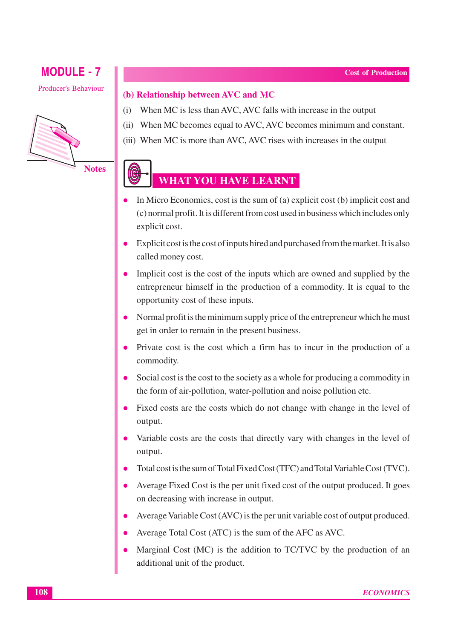**Producer's Behaviour** 



### (b) Relationship between AVC and MC

- (i) When MC is less than AVC, AVC falls with increase in the output
- (ii) When MC becomes equal to AVC, AVC becomes minimum and constant.
- (iii) When MC is more than AVC, AVC rises with increases in the output

# **WHAT YOU HAVE LEARNT**

- In Micro Economics, cost is the sum of (a) explicit cost (b) implicit cost and (c) normal profit. It is different from cost used in business which includes only explicit cost.
- Explicit cost is the cost of inputs hired and purchased from the market. It is also called money cost.
- Implicit cost is the cost of the inputs which are owned and supplied by the entrepreneur himself in the production of a commodity. It is equal to the opportunity cost of these inputs.
- Normal profit is the minimum supply price of the entrepreneur which he must get in order to remain in the present business.
- Private cost is the cost which a firm has to incur in the production of a commodity.
- Social cost is the cost to the society as a whole for producing a commodity in the form of air-pollution, water-pollution and noise pollution etc.
- Fixed costs are the costs which do not change with change in the level of output.
- Variable costs are the costs that directly vary with changes in the level of  $\bullet$ output.
- Total cost is the sum of Total Fixed Cost (TFC) and Total Variable Cost (TVC).  $\bullet$
- Average Fixed Cost is the per unit fixed cost of the output produced. It goes on decreasing with increase in output.
- Average Variable Cost (AVC) is the per unit variable cost of output produced.
- Average Total Cost (ATC) is the sum of the AFC as AVC.
- Marginal Cost (MC) is the addition to TC/TVC by the production of an additional unit of the product.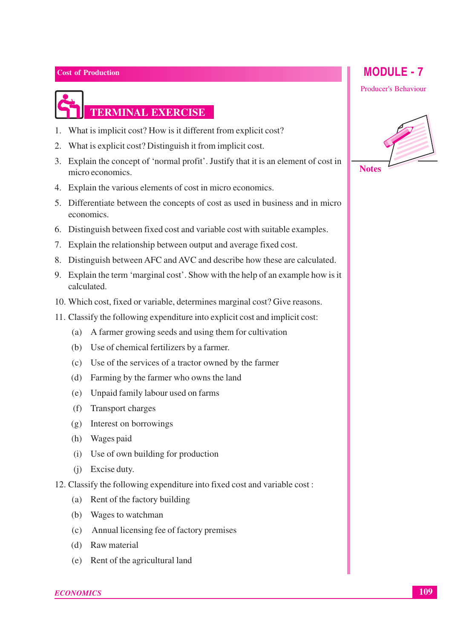### 1. What is implicit cost? How is it different from explicit cost?

2. What is explicit cost? Distinguish it from implicit cost.

**TERMINAL EXERCISE** 

- 3. Explain the concept of 'normal profit'. Justify that it is an element of cost in micro economics
- 4. Explain the various elements of cost in micro economics.
- 5. Differentiate between the concepts of cost as used in business and in micro economics.
- 6. Distinguish between fixed cost and variable cost with suitable examples.
- 7. Explain the relationship between output and average fixed cost.
- 8. Distinguish between AFC and AVC and describe how these are calculated.
- 9. Explain the term 'marginal cost'. Show with the help of an example how is it calculated.
- 10. Which cost, fixed or variable, determines marginal cost? Give reasons.
- 11. Classify the following expenditure into explicit cost and implicit cost:
	- (a) A farmer growing seeds and using them for cultivation
	- (b) Use of chemical fertilizers by a farmer.
	- (c) Use of the services of a tractor owned by the farmer
	- (d) Farming by the farmer who owns the land
	- (e) Unpaid family labour used on farms
	- (f) Transport charges
	- (g) Interest on borrowings
	- (h) Wages paid
	- (i) Use of own building for production
	- (i) Excise duty.
- 12. Classify the following expenditure into fixed cost and variable cost:
	- (a) Rent of the factory building
	- (b) Wages to watchman
	- (c) Annual licensing fee of factory premises
	- (d) Raw material
	- (e) Rent of the agricultural land

### **MODULE - 7**

**Producer's Behaviour** 

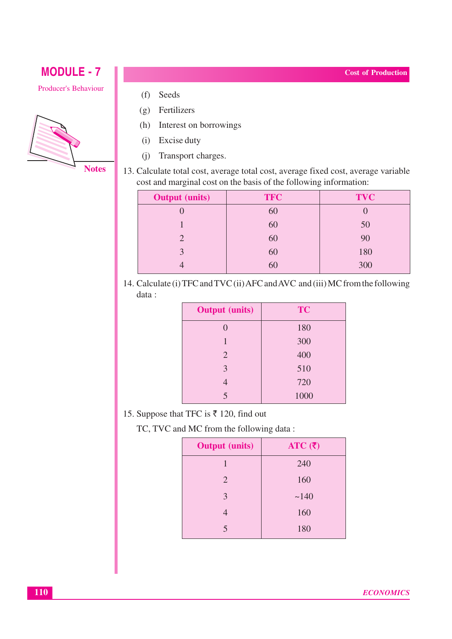### Producer's Behaviour



- Seeds  $(f)$
- $(g)$  Fertilizers
- (h) Interest on borrowings
- (i) Excise duty
- (j) Transport charges.
- 13. Calculate total cost, average total cost, average fixed cost, average variable cost and marginal cost on the basis of the following information:

| <b>Output</b> (units) | <b>TFC</b> | <b>TVC</b> |
|-----------------------|------------|------------|
|                       | 60         |            |
|                       | 60         | 50         |
| $\mathcal{D}_{\cdot}$ | 60         | 90         |
| $\mathbf 3$           | 60         | 180        |
|                       | 60         | 300        |

14. Calculate (i) TFC and TVC (ii) AFC and AVC and (iii) MC from the following data:

| <b>Output</b> (units) | <b>TC</b> |
|-----------------------|-----------|
| 0                     | 180       |
| $\mathbf{1}$          | 300       |
| $\overline{2}$        | 400       |
| 3                     | 510       |
| 4                     | 720       |
| $\overline{5}$        | 1000      |

15. Suppose that TFC is ₹ 120, find out

TC, TVC and MC from the following data:

| <b>Output</b> (units)   | ATC $(\bar{\zeta})$ |
|-------------------------|---------------------|
|                         | 240                 |
| 2                       | 160                 |
| 3                       | ~140                |
|                         | 160                 |
| $\overline{\mathsf{S}}$ | 180                 |

**Cost of Production**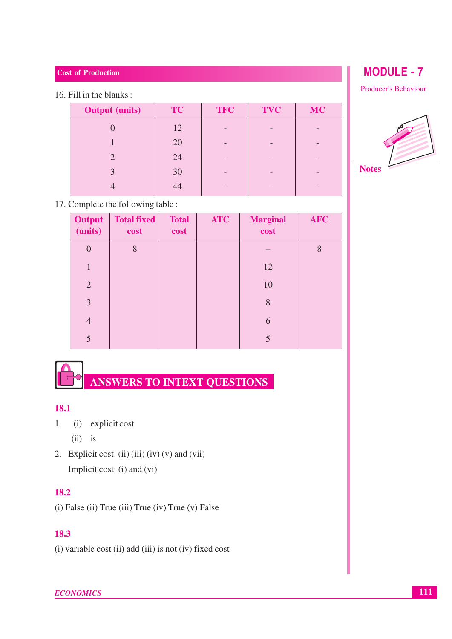### 16. Fill in the blanks:

| <b>Output</b> (units)       | <b>TC</b> | <b>TFC</b> | <b>TVC</b> | <b>MC</b> |
|-----------------------------|-----------|------------|------------|-----------|
|                             | 12        |            |            |           |
|                             | 20        |            |            |           |
| $\mathcal{D}_{\mathcal{A}}$ | 24        |            |            |           |
| $\mathcal{E}$               | 30        |            |            |           |
|                             | 44        |            |            |           |

### 17. Complete the following table :

| <b>Output</b><br>(units) | <b>Total fixed</b><br>cost | <b>Total</b><br>cost | <b>ATC</b> | <b>Marginal</b><br>cost | <b>AFC</b> |
|--------------------------|----------------------------|----------------------|------------|-------------------------|------------|
| $\overline{0}$           | 8                          |                      |            |                         | 8          |
| 1                        |                            |                      |            | 12                      |            |
| $\overline{2}$           |                            |                      |            | 10                      |            |
| 3                        |                            |                      |            | 8                       |            |
| $\overline{4}$           |                            |                      |            | 6                       |            |
| 5                        |                            |                      |            |                         |            |

# ANSWERS TO INTEXT QUESTIONS

### 18.1

 $1.$ (i) explicit cost

 $(ii)$  is

2. Explicit cost: (ii) (iii) (iv) (v) and (vii) Implicit cost: (i) and (vi)

### 18.2

(i) False (ii) True (iii) True (iv) True (v) False

### 18.3

(i) variable cost (ii) add (iii) is not (iv) fixed cost

Producer's Behaviour

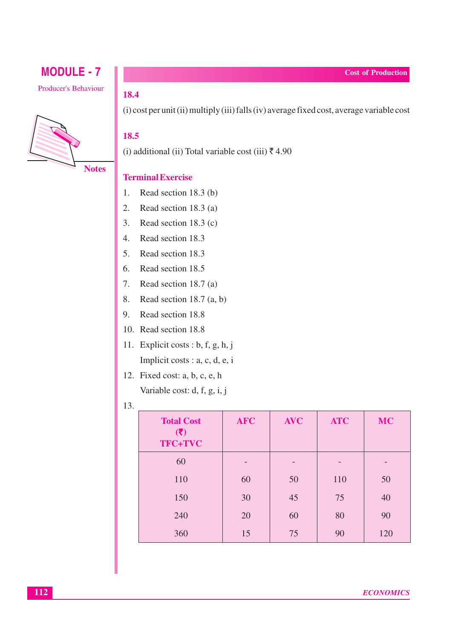Producer's Behaviour



### 18.4

(i) cost per unit (ii) multiply (iii) falls (iv) average fixed cost, average variable cost

### 18.5

(i) additional (ii) Total variable cost (iii) ₹4.90

### **Terminal Exercise**

- $1.$ Read section 18.3 (b)
- $2.$ Read section 18.3 (a)
- 3. Read section  $18.3$  (c)
- 4. Read section 18.3
- 5. Read section 18.3
- 6. Read section 18.5
- 7. Read section 18.7 (a)
- 8. Read section 18.7  $(a, b)$
- 9. Read section 18.8
- 10. Read section 18.8
- 11. Explicit costs : b, f, g, h, j Implicit costs : a, c, d, e, i
- 12. Fixed cost: a, b, c, e, h Variable cost: d, f, g, i, j
- 13.

| <b>Total Cost</b><br>(3)<br>TFC+TVC | <b>AFC</b> | <b>AVC</b> | <b>ATC</b> | <b>MC</b> |
|-------------------------------------|------------|------------|------------|-----------|
| 60                                  |            |            |            |           |
| 110                                 | 60         | 50         | 110        | 50        |
| 150                                 | 30         | 45         | 75         | 40        |
| 240                                 | 20         | 60         | 80         | 90        |
| 360                                 | 15         | 75         | 90         | 120       |